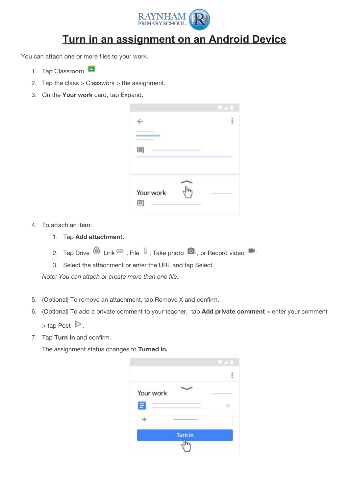

## **Turn in an assignment on an Android Device**

You can attach one or more files to your work.

- 1. Tap Classroom
- 2. Tap the class  $>$  Classwork  $>$  the assignment.
- 3. On the **Your work** card, tap Expand.

| Your work |  |
|-----------|--|

- 4. To attach an item:
	- 1. Tap **Add attachment.**
	- 2. Tap Drive  $\overline{a}$ , Link  $\overline{a}$ , File  $\overline{a}$ , Take photo  $\overline{a}$ , or Record video
	- 3. Select the attachment or enter the URL and tap Select.

*Note: You can attach or create more than one file.*

- 5. (Optional) To remove an attachment, tap Remove X and confirm.
- 6. (Optional) To add a private comment to your teacher, tap **Add private comment** > enter your comment  $>$  tap Post  $\triangleright$ .
- 7. Tap **Turn In** and confirm.

The assignment status changes to **Turned in.**

| Your work |  |
|-----------|--|
|           |  |
| E         |  |
|           |  |
|           |  |